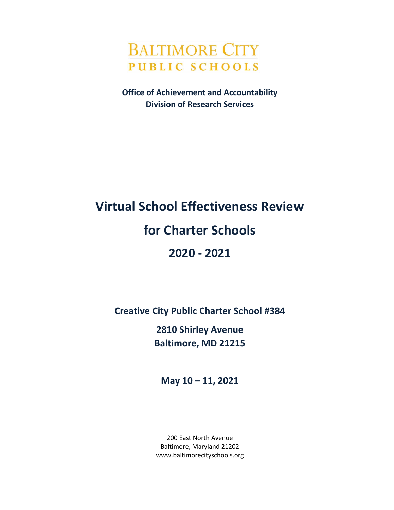

**Office of Achievement and Accountability Division of Research Services**

# **Virtual School Effectiveness Review for Charter Schools 2020 - 2021**

**Creative City Public Charter School #384**

**2810 Shirley Avenue Baltimore, MD 21215**

**May 10 – 11, 2021**

200 East North Avenue Baltimore, Maryland 21202 www.baltimorecityschools.org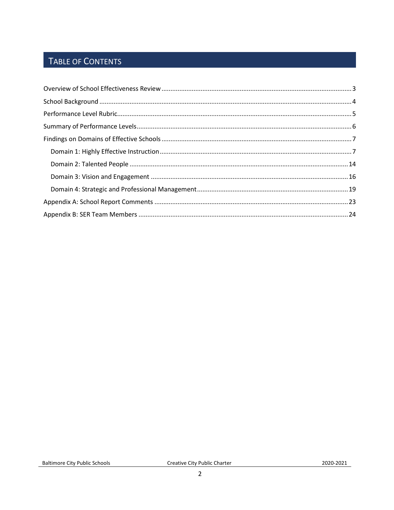## TABLE OF CONTENTS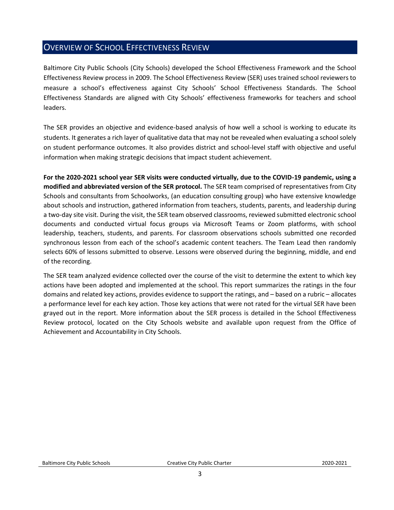### <span id="page-2-0"></span>OVERVIEW OF SCHOOL EFFECTIVENESS REVIEW

Baltimore City Public Schools (City Schools) developed the School Effectiveness Framework and the School Effectiveness Review process in 2009. The School Effectiveness Review (SER) uses trained school reviewers to measure a school's effectiveness against City Schools' School Effectiveness Standards. The School Effectiveness Standards are aligned with City Schools' effectiveness frameworks for teachers and school leaders.

The SER provides an objective and evidence-based analysis of how well a school is working to educate its students. It generates a rich layer of qualitative data that may not be revealed when evaluating a school solely on student performance outcomes. It also provides district and school-level staff with objective and useful information when making strategic decisions that impact student achievement.

**For the 2020-2021 school year SER visits were conducted virtually, due to the COVID-19 pandemic, using a modified and abbreviated version of the SER protocol.** The SER team comprised of representatives from City Schools and consultants from Schoolworks, (an education consulting group) who have extensive knowledge about schools and instruction, gathered information from teachers, students, parents, and leadership during a two-day site visit. During the visit, the SER team observed classrooms, reviewed submitted electronic school documents and conducted virtual focus groups via Microsoft Teams or Zoom platforms, with school leadership, teachers, students, and parents. For classroom observations schools submitted one recorded synchronous lesson from each of the school's academic content teachers. The Team Lead then randomly selects 60% of lessons submitted to observe. Lessons were observed during the beginning, middle, and end of the recording.

The SER team analyzed evidence collected over the course of the visit to determine the extent to which key actions have been adopted and implemented at the school. This report summarizes the ratings in the four domains and related key actions, provides evidence to support the ratings, and – based on a rubric – allocates a performance level for each key action. Those key actions that were not rated for the virtual SER have been grayed out in the report. More information about the SER process is detailed in the School Effectiveness Review protocol, located on the City Schools website and available upon request from the Office of Achievement and Accountability in City Schools.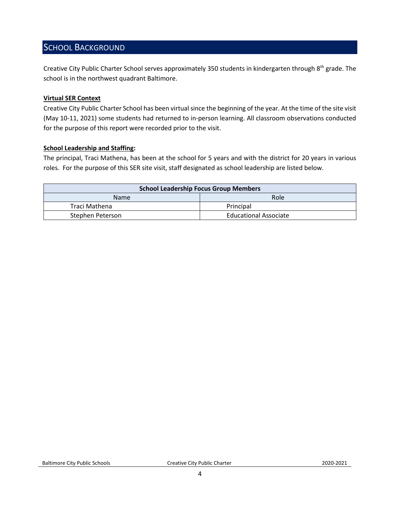### <span id="page-3-0"></span>SCHOOL BACKGROUND

Creative City Public Charter School serves approximately 350 students in kindergarten through 8<sup>th</sup> grade. The school is in the northwest quadrant Baltimore.

#### **Virtual SER Context**

Creative City Public Charter School has been virtual since the beginning of the year. At the time of the site visit (May 10-11, 2021) some students had returned to in-person learning. All classroom observations conducted for the purpose of this report were recorded prior to the visit.

### **School Leadership and Staffing:**

The principal, Traci Mathena, has been at the school for 5 years and with the district for 20 years in various roles. For the purpose of this SER site visit, staff designated as school leadership are listed below.

<span id="page-3-1"></span>

| <b>School Leadership Focus Group Members</b> |                              |  |
|----------------------------------------------|------------------------------|--|
| <b>Name</b>                                  | Role                         |  |
| Traci Mathena                                | Principal                    |  |
| Stephen Peterson                             | <b>Educational Associate</b> |  |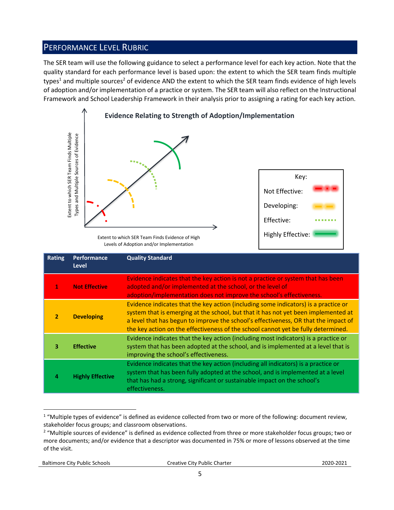### PERFORMANCE LEVEL RUBRIC

The SER team will use the following guidance to select a performance level for each key action. Note that the quality standard for each performance level is based upon: the extent to which the SER team finds multiple types<sup>1</sup> and multiple sources<sup>2</sup> of evidence AND the extent to which the SER team finds evidence of high levels of adoption and/or implementation of a practice or system. The SER team will also reflect on the Instructional Framework and School Leadership Framework in their analysis prior to assigning a rating for each key action.



Levels of Adoption and/or Implementation

|                | Extent to which SER Team Finds Multiple<br>Types and Multiple Sources of Evidence | Extent to which SER Team Finds Evidence of High<br>Levels of Adoption and/or Implementation                                                                                                                                                                                                                                                                                                                                                    | Key:<br>Not Effective:<br>Developing:<br>Effective:<br><b>Highly Effective:</b> |  |
|----------------|-----------------------------------------------------------------------------------|------------------------------------------------------------------------------------------------------------------------------------------------------------------------------------------------------------------------------------------------------------------------------------------------------------------------------------------------------------------------------------------------------------------------------------------------|---------------------------------------------------------------------------------|--|
| <b>Rating</b>  | Performance<br><b>Level</b>                                                       | <b>Quality Standard</b>                                                                                                                                                                                                                                                                                                                                                                                                                        |                                                                                 |  |
| 1              | <b>Not Effective</b>                                                              | Evidence indicates that the key action is not a practice or system that has been<br>adopted and/or implemented at the school, or the level of<br>adoption/implementation does not improve the school's effectiveness.                                                                                                                                                                                                                          |                                                                                 |  |
| $\overline{2}$ | <b>Developing</b>                                                                 | Evidence indicates that the key action (including some indicators) is a practice or<br>system that is emerging at the school, but that it has not yet been implemented at<br>a level that has begun to improve the school's effectiveness, OR that the impact of<br>the key action on the effectiveness of the school cannot yet be fully determined.                                                                                          |                                                                                 |  |
| 3              | <b>Effective</b>                                                                  | Evidence indicates that the key action (including most indicators) is a practice or<br>system that has been adopted at the school, and is implemented at a level that is<br>improving the school's effectiveness.                                                                                                                                                                                                                              |                                                                                 |  |
| 4              | <b>Highly Effective</b>                                                           | Evidence indicates that the key action (including all indicators) is a practice or<br>system that has been fully adopted at the school, and is implemented at a level<br>that has had a strong, significant or sustainable impact on the school's<br>effectiveness.                                                                                                                                                                            |                                                                                 |  |
| of the visit.  |                                                                                   | <sup>1</sup> "Multiple types of evidence" is defined as evidence collected from two or more of the following: document review,<br>stakeholder focus groups; and classroom observations.<br><sup>2</sup> "Multiple sources of evidence" is defined as evidence collected from three or more stakeholder focus groups; two or<br>more documents; and/or evidence that a descriptor was documented in 75% or more of lessons observed at the time |                                                                                 |  |

 $\overline{a}$  $1$  "Multiple types of evidence" is defined as evidence collected from two or more of the following: document review, stakeholder focus groups; and classroom observations.

<sup>&</sup>lt;sup>2</sup> "Multiple sources of evidence" is defined as evidence collected from three or more stakeholder focus groups; two or more documents; and/or evidence that a descriptor was documented in 75% or more of lessons observed at the time of the visit.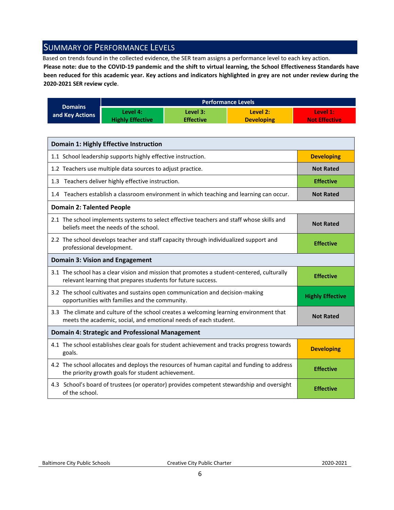### <span id="page-5-0"></span>SUMMARY OF PERFORMANCE LEVELS

Based on trends found in the collected evidence, the SER team assigns a performance level to each key action.

**Please note: due to the COVID-19 pandemic and the shift to virtual learning, the School Effectiveness Standards have been reduced for this academic year. Key actions and indicators highlighted in grey are not under review during the 2020-2021 SER review cycle**.

|                 |                         |                  | <b>Performance Levels</b> |                      |
|-----------------|-------------------------|------------------|---------------------------|----------------------|
| <b>Domains</b>  | Level 4:                | Level 3:         | Level 2:                  | Level 1:             |
| and Key Actions | <b>Highly Effective</b> | <b>Effective</b> | <b>Developing</b>         | <b>Not Effective</b> |

| <b>Domain 1: Highly Effective Instruction</b>                                                                                                               |                         |
|-------------------------------------------------------------------------------------------------------------------------------------------------------------|-------------------------|
| 1.1 School leadership supports highly effective instruction.                                                                                                | <b>Developing</b>       |
| 1.2 Teachers use multiple data sources to adjust practice.                                                                                                  | <b>Not Rated</b>        |
| 1.3 Teachers deliver highly effective instruction.                                                                                                          | <b>Effective</b>        |
| 1.4 Teachers establish a classroom environment in which teaching and learning can occur.                                                                    | <b>Not Rated</b>        |
| <b>Domain 2: Talented People</b>                                                                                                                            |                         |
| 2.1 The school implements systems to select effective teachers and staff whose skills and<br>beliefs meet the needs of the school.                          | <b>Not Rated</b>        |
| 2.2 The school develops teacher and staff capacity through individualized support and<br>professional development.                                          | <b>Effective</b>        |
| <b>Domain 3: Vision and Engagement</b>                                                                                                                      |                         |
| 3.1 The school has a clear vision and mission that promotes a student-centered, culturally<br>relevant learning that prepares students for future success.  | <b>Effective</b>        |
| 3.2 The school cultivates and sustains open communication and decision-making<br>opportunities with families and the community.                             | <b>Highly Effective</b> |
| 3.3 The climate and culture of the school creates a welcoming learning environment that<br>meets the academic, social, and emotional needs of each student. | <b>Not Rated</b>        |
| <b>Domain 4: Strategic and Professional Management</b>                                                                                                      |                         |
| 4.1 The school establishes clear goals for student achievement and tracks progress towards<br>goals.                                                        | <b>Developing</b>       |
| 4.2 The school allocates and deploys the resources of human capital and funding to address<br>the priority growth goals for student achievement.            | <b>Effective</b>        |
| 4.3 School's board of trustees (or operator) provides competent stewardship and oversight<br>of the school.                                                 | <b>Effective</b>        |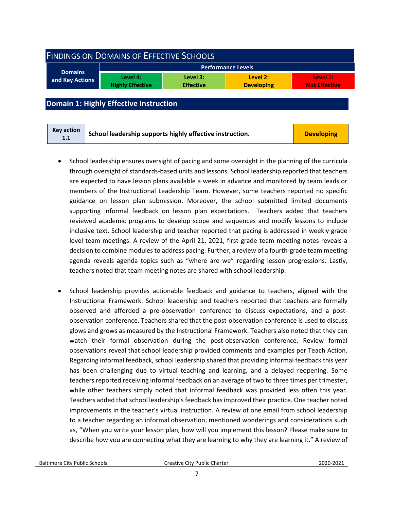<span id="page-6-0"></span>

| <b>FINDINGS ON DOMAINS OF EFFECTIVE SCHOOLS</b> |                                     |                              |                               |                                  |  |
|-------------------------------------------------|-------------------------------------|------------------------------|-------------------------------|----------------------------------|--|
| <b>Domains</b>                                  |                                     |                              | <b>Performance Levels</b>     |                                  |  |
| and Key Actions                                 | Level 4:<br><b>Highly Effective</b> | Level 3:<br><b>Effective</b> | Level 2:<br><b>Developing</b> | Level 1:<br><b>Not Effective</b> |  |
|                                                 |                                     |                              |                               |                                  |  |

### <span id="page-6-1"></span>**Domain 1: Highly Effective Instruction**

| <b>Key action</b><br>1.1 | School leadership supports highly effective instruction. | <b>Developing</b> |
|--------------------------|----------------------------------------------------------|-------------------|
|--------------------------|----------------------------------------------------------|-------------------|

- School leadership ensures oversight of pacing and some oversight in the planning of the curricula through oversight of standards-based units and lessons. School leadership reported that teachers are expected to have lesson plans available a week in advance and monitored by team leads or members of the Instructional Leadership Team. However, some teachers reported no specific guidance on lesson plan submission. Moreover, the school submitted limited documents supporting informal feedback on lesson plan expectations. Teachers added that teachers reviewed academic programs to develop scope and sequences and modify lessons to include inclusive text. School leadership and teacher reported that pacing is addressed in weekly grade level team meetings. A review of the April 21, 2021, first grade team meeting notes reveals a decision to combine modules to address pacing. Further, a review of a fourth-grade team meeting agenda reveals agenda topics such as "where are we" regarding lesson progressions. Lastly, teachers noted that team meeting notes are shared with school leadership.
- School leadership provides actionable feedback and guidance to teachers, aligned with the Instructional Framework. School leadership and teachers reported that teachers are formally observed and afforded a pre-observation conference to discuss expectations, and a postobservation conference. Teachers shared that the post-observation conference is used to discuss glows and grows as measured by the Instructional Framework. Teachers also noted that they can watch their formal observation during the post-observation conference. Review formal observations reveal that school leadership provided comments and examples per Teach Action. Regarding informal feedback, school leadership shared that providing informal feedback this year has been challenging due to virtual teaching and learning, and a delayed reopening. Some teachers reported receiving informal feedback on an average of two to three times per trimester, while other teachers simply noted that informal feedback was provided less often this year. Teachers added that school leadership's feedback has improved their practice. One teacher noted improvements in the teacher's virtual instruction. A review of one email from school leadership to a teacher regarding an informal observation, mentioned wonderings and considerations such as, "When you write your lesson plan, how will you implement this lesson? Please make sure to describe how you are connecting what they are learning to why they are learning it." A review of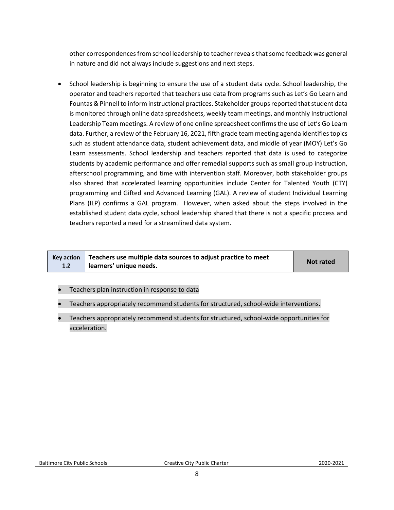other correspondencesfrom school leadership to teacher reveals that some feedback was general in nature and did not always include suggestions and next steps.

• School leadership is beginning to ensure the use of a student data cycle. School leadership, the operator and teachers reported that teachers use data from programs such as Let's Go Learn and Fountas & Pinnell to inform instructional practices. Stakeholder groups reported that student data is monitored through online data spreadsheets, weekly team meetings, and monthly Instructional Leadership Team meetings. A review of one online spreadsheet confirms the use of Let's Go Learn data. Further, a review of the February 16, 2021, fifth grade team meeting agenda identifies topics such as student attendance data, student achievement data, and middle of year (MOY) Let's Go Learn assessments. School leadership and teachers reported that data is used to categorize students by academic performance and offer remedial supports such as small group instruction, afterschool programming, and time with intervention staff. Moreover, both stakeholder groups also shared that accelerated learning opportunities include Center for Talented Youth (CTY) programming and Gifted and Advanced Learning (GAL). A review of student Individual Learning Plans (ILP) confirms a GAL program. However, when asked about the steps involved in the established student data cycle, school leadership shared that there is not a specific process and teachers reported a need for a streamlined data system.

|     | Key action $\vert$ Teachers use multiple data sources to adjust practice to meet | <b>Not rated</b> |
|-----|----------------------------------------------------------------------------------|------------------|
| 1.2 | learners' unique needs.                                                          |                  |

- Teachers plan instruction in response to data
- Teachers appropriately recommend students for structured, school-wide interventions.
- Teachers appropriately recommend students for structured, school-wide opportunities for acceleration.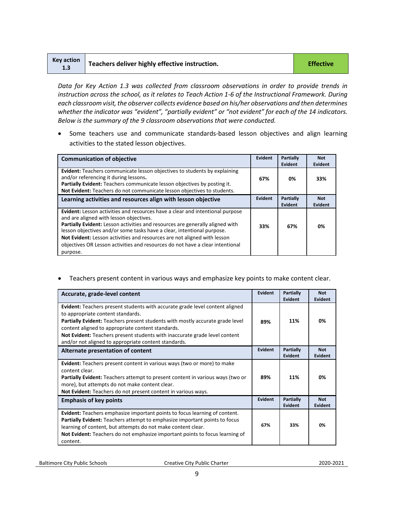| Key action<br>1.3 | Teachers deliver highly effective instruction. | <b>Effective</b> |
|-------------------|------------------------------------------------|------------------|
|-------------------|------------------------------------------------|------------------|

*Data for Key Action 1.3 was collected from classroom observations in order to provide trends in instruction across the school, as it relates to Teach Action 1-6 of the Instructional Framework. During each classroom visit, the observer collects evidence based on his/her observations and then determines*  whether the indicator was "evident", "partially evident" or "not evident" for each of the 14 indicators. *Below is the summary of the 9 classroom observations that were conducted.* 

• Some teachers use and communicate standards-based lesson objectives and align learning activities to the stated lesson objectives.

| <b>Communication of objective</b>                                                                                                                                                                                                                                                                                                                                                                                                                                   | Evident | Partially<br>Evident        | <b>Not</b><br>Evident |
|---------------------------------------------------------------------------------------------------------------------------------------------------------------------------------------------------------------------------------------------------------------------------------------------------------------------------------------------------------------------------------------------------------------------------------------------------------------------|---------|-----------------------------|-----------------------|
| <b>Evident:</b> Teachers communicate lesson objectives to students by explaining<br>and/or referencing it during lessons.<br>Partially Evident: Teachers communicate lesson objectives by posting it.<br>Not Evident: Teachers do not communicate lesson objectives to students.                                                                                                                                                                                    | 67%     | 0%                          | 33%                   |
| Learning activities and resources align with lesson objective                                                                                                                                                                                                                                                                                                                                                                                                       | Evident | <b>Partially</b><br>Evident | <b>Not</b><br>Evident |
| <b>Evident:</b> Lesson activities and resources have a clear and intentional purpose<br>and are aligned with lesson objectives.<br>Partially Evident: Lesson activities and resources are generally aligned with<br>lesson objectives and/or some tasks have a clear, intentional purpose.<br>Not Evident: Lesson activities and resources are not aligned with lesson<br>objectives OR Lesson activities and resources do not have a clear intentional<br>purpose. | 33%     | 67%                         | 0%                    |

• Teachers present content in various ways and emphasize key points to make content clear.

| Accurate, grade-level content                                                                                                                                                                                                                                                                                                                                                                        | <b>Evident</b> | Partially<br>Evident        | <b>Not</b><br><b>Evident</b> |
|------------------------------------------------------------------------------------------------------------------------------------------------------------------------------------------------------------------------------------------------------------------------------------------------------------------------------------------------------------------------------------------------------|----------------|-----------------------------|------------------------------|
| <b>Evident:</b> Teachers present students with accurate grade level content aligned<br>to appropriate content standards.<br>Partially Evident: Teachers present students with mostly accurate grade level<br>content aligned to appropriate content standards.<br>Not Evident: Teachers present students with inaccurate grade level content<br>and/or not aligned to appropriate content standards. | 89%            | 11%                         | 0%                           |
| Alternate presentation of content                                                                                                                                                                                                                                                                                                                                                                    | <b>Evident</b> | <b>Partially</b><br>Evident | <b>Not</b><br><b>Evident</b> |
| Evident: Teachers present content in various ways (two or more) to make<br>content clear.<br><b>Partially Evident:</b> Teachers attempt to present content in various ways (two or<br>more), but attempts do not make content clear.<br>Not Evident: Teachers do not present content in various ways.                                                                                                | 89%            | 11%                         | 0%                           |
| <b>Emphasis of key points</b>                                                                                                                                                                                                                                                                                                                                                                        | <b>Evident</b> | <b>Partially</b><br>Evident | <b>Not</b><br>Evident        |
| Evident: Teachers emphasize important points to focus learning of content.<br><b>Partially Evident:</b> Teachers attempt to emphasize important points to focus<br>learning of content, but attempts do not make content clear.<br>Not Evident: Teachers do not emphasize important points to focus learning of<br>content.                                                                          | 67%            | 33%                         | 0%                           |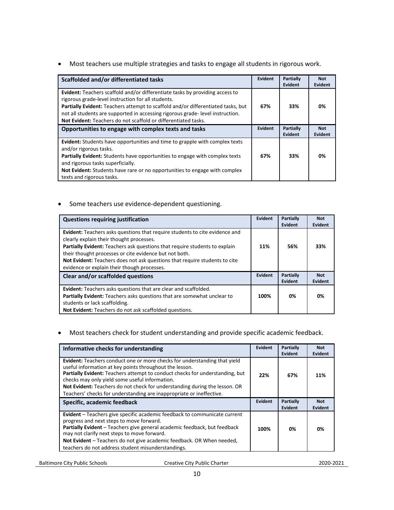• Most teachers use multiple strategies and tasks to engage all students in rigorous work.

| Scaffolded and/or differentiated tasks                                                                                                                                                                                                                                                                                                                                                  | Evident | <b>Partially</b><br>Evident | <b>Not</b><br>Evident |
|-----------------------------------------------------------------------------------------------------------------------------------------------------------------------------------------------------------------------------------------------------------------------------------------------------------------------------------------------------------------------------------------|---------|-----------------------------|-----------------------|
| <b>Evident:</b> Teachers scaffold and/or differentiate tasks by providing access to<br>rigorous grade-level instruction for all students.<br><b>Partially Evident:</b> Teachers attempt to scaffold and/or differentiated tasks, but<br>not all students are supported in accessing rigorous grade-level instruction.<br>Not Evident: Teachers do not scaffold or differentiated tasks. | 67%     | 33%                         | 0%                    |
| Opportunities to engage with complex texts and tasks                                                                                                                                                                                                                                                                                                                                    | Evident | Partially<br>Evident        | <b>Not</b><br>Evident |
| Evident: Students have opportunities and time to grapple with complex texts<br>and/or rigorous tasks.<br><b>Partially Evident:</b> Students have opportunities to engage with complex texts<br>and rigorous tasks superficially.<br>Not Evident: Students have rare or no opportunities to engage with complex<br>texts and rigorous tasks.                                             | 67%     | 33%                         | 0%                    |

• Some teachers use evidence-dependent questioning.

| <b>Questions requiring justification</b>                                                                                                                                                                                                                                                                                                                                                            | Evident | <b>Partially</b><br>Evident | <b>Not</b><br><b>Evident</b> |
|-----------------------------------------------------------------------------------------------------------------------------------------------------------------------------------------------------------------------------------------------------------------------------------------------------------------------------------------------------------------------------------------------------|---------|-----------------------------|------------------------------|
| <b>Evident:</b> Teachers asks questions that require students to cite evidence and<br>clearly explain their thought processes.<br>Partially Evident: Teachers ask questions that require students to explain<br>their thought processes or cite evidence but not both.<br>Not Evident: Teachers does not ask questions that require students to cite<br>evidence or explain their though processes. | 11%     | 56%                         | 33%                          |
| Clear and/or scaffolded questions                                                                                                                                                                                                                                                                                                                                                                   |         | Partially<br>Evident        | <b>Not</b><br><b>Evident</b> |
| <b>Evident:</b> Teachers asks questions that are clear and scaffolded.<br>Partially Evident: Teachers asks questions that are somewhat unclear to<br>students or lack scaffolding.<br>Not Evident: Teachers do not ask scaffolded questions.                                                                                                                                                        | 100%    | 0%                          | 0%                           |

• Most teachers check for student understanding and provide specific academic feedback.

| Informative checks for understanding                                                                                                                                                                                                                                                                                                                                                                                         | Evident | Partially<br>Evident | <b>Not</b><br>Evident        |
|------------------------------------------------------------------------------------------------------------------------------------------------------------------------------------------------------------------------------------------------------------------------------------------------------------------------------------------------------------------------------------------------------------------------------|---------|----------------------|------------------------------|
| Evident: Teachers conduct one or more checks for understanding that yield<br>useful information at key points throughout the lesson.<br>Partially Evident: Teachers attempt to conduct checks for understanding, but<br>checks may only yield some useful information.<br>Not Evident: Teachers do not check for understanding during the lesson. OR<br>Teachers' checks for understanding are inappropriate or ineffective. | 22%     | 67%                  | 11%                          |
| Specific, academic feedback                                                                                                                                                                                                                                                                                                                                                                                                  | Evident | Partially<br>Evident | <b>Not</b><br><b>Evident</b> |
| <b>Evident</b> – Teachers give specific academic feedback to communicate current<br>progress and next steps to move forward.<br>Partially Evident - Teachers give general academic feedback, but feedback<br>may not clarify next steps to move forward.<br>Not Evident - Teachers do not give academic feedback. OR When needed,<br>teachers do not address student misunderstandings.                                      | 100%    | 0%                   | 0%                           |

Baltimore City Public Schools **Creative City Public Charter 2020-2021**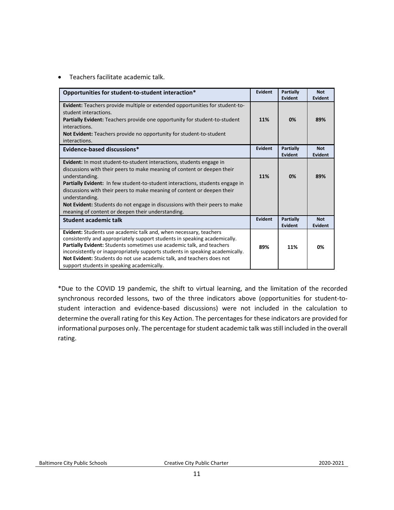• Teachers facilitate academic talk.

| Opportunities for student-to-student interaction*                                                                                                                                                                                                                                                                                                                                                                                                                                          | Evident        | <b>Partially</b><br>Evident | <b>Not</b><br>Evident        |
|--------------------------------------------------------------------------------------------------------------------------------------------------------------------------------------------------------------------------------------------------------------------------------------------------------------------------------------------------------------------------------------------------------------------------------------------------------------------------------------------|----------------|-----------------------------|------------------------------|
| <b>Evident:</b> Teachers provide multiple or extended opportunities for student-to-<br>student interactions.<br><b>Partially Evident:</b> Teachers provide one opportunity for student-to-student<br>interactions.<br>Not Evident: Teachers provide no opportunity for student-to-student<br>interactions.                                                                                                                                                                                 | 11%            | 0%                          | 89%                          |
| Evidence-based discussions*                                                                                                                                                                                                                                                                                                                                                                                                                                                                | <b>Evident</b> | Partially<br><b>Evident</b> | <b>Not</b><br><b>Evident</b> |
| <b>Evident:</b> In most student-to-student interactions, students engage in<br>discussions with their peers to make meaning of content or deepen their<br>understanding.<br>Partially Evident: In few student-to-student interactions, students engage in<br>discussions with their peers to make meaning of content or deepen their<br>understanding.<br>Not Evident: Students do not engage in discussions with their peers to make<br>meaning of content or deepen their understanding. | 11%            | 0%                          | 89%                          |
| <b>Student academic talk</b>                                                                                                                                                                                                                                                                                                                                                                                                                                                               | Evident        | Partially<br>Evident        | <b>Not</b><br>Evident        |
| Evident: Students use academic talk and, when necessary, teachers<br>consistently and appropriately support students in speaking academically.<br>Partially Evident: Students sometimes use academic talk, and teachers<br>inconsistently or inappropriately supports students in speaking academically.<br>Not Evident: Students do not use academic talk, and teachers does not<br>support students in speaking academically.                                                            | 89%            | 11%                         | 0%                           |

\*Due to the COVID 19 pandemic, the shift to virtual learning, and the limitation of the recorded synchronous recorded lessons, two of the three indicators above (opportunities for student-tostudent interaction and evidence-based discussions) were not included in the calculation to determine the overall rating for this Key Action. The percentages for these indicators are provided for informational purposes only. The percentage for student academic talk was still included in the overall rating.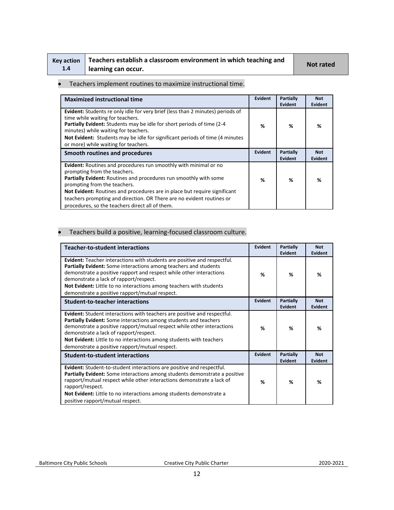| Key action |  |
|------------|--|
| 1.4        |  |

# **Teachers establish a classroom environment in which teaching and learning can occur. Not rated**

### • Teachers implement routines to maximize instructional time.

| <b>Maximized instructional time</b>                                                                                                                                                                                                                                                                                                                                                                            | Evident | Partially<br><b>Evident</b>        | <b>Not</b><br><b>Evident</b> |
|----------------------------------------------------------------------------------------------------------------------------------------------------------------------------------------------------------------------------------------------------------------------------------------------------------------------------------------------------------------------------------------------------------------|---------|------------------------------------|------------------------------|
| Evident: Students re only idle for very brief (less than 2 minutes) periods of<br>time while waiting for teachers.<br>Partially Evident: Students may be idle for short periods of time (2-4<br>minutes) while waiting for teachers.<br>Not Evident: Students may be idle for significant periods of time (4 minutes<br>or more) while waiting for teachers.                                                   | %       | %                                  | %                            |
| Smooth routines and procedures                                                                                                                                                                                                                                                                                                                                                                                 | Evident | <b>Partially</b><br><b>Evident</b> | <b>Not</b><br><b>Evident</b> |
| Evident: Routines and procedures run smoothly with minimal or no<br>prompting from the teachers.<br>Partially Evident: Routines and procedures run smoothly with some<br>prompting from the teachers.<br>Not Evident: Routines and procedures are in place but require significant<br>teachers prompting and direction. OR There are no evident routines or<br>procedures, so the teachers direct all of them. | %       | %                                  | %                            |

### • Teachers build a positive, learning-focused classroom culture.

| <b>Teacher-to-student interactions</b>                                                                                                                                                                                                                                                                                                                                                    | Evident        | Partially<br>Evident | <b>Not</b><br>Evident |
|-------------------------------------------------------------------------------------------------------------------------------------------------------------------------------------------------------------------------------------------------------------------------------------------------------------------------------------------------------------------------------------------|----------------|----------------------|-----------------------|
| Evident: Teacher interactions with students are positive and respectful.<br>Partially Evident: Some interactions among teachers and students<br>demonstrate a positive rapport and respect while other interactions<br>demonstrate a lack of rapport/respect.<br>Not Evident: Little to no interactions among teachers with students<br>demonstrate a positive rapport/mutual respect.    | %              | %                    | %                     |
| <b>Student-to-teacher interactions</b>                                                                                                                                                                                                                                                                                                                                                    | Evident        | Partially<br>Evident | <b>Not</b><br>Evident |
| Evident: Student interactions with teachers are positive and respectful.<br>Partially Evident: Some interactions among students and teachers<br>demonstrate a positive rapport/mutual respect while other interactions<br>demonstrate a lack of rapport/respect.<br>Not Evident: Little to no interactions among students with teachers<br>demonstrate a positive rapport/mutual respect. | %              | %                    | %                     |
| <b>Student-to-student interactions</b>                                                                                                                                                                                                                                                                                                                                                    | <b>Evident</b> | Partially<br>Evident | <b>Not</b><br>Evident |
| Evident: Student-to-student interactions are positive and respectful.<br><b>Partially Evident:</b> Some interactions among students demonstrate a positive<br>rapport/mutual respect while other interactions demonstrate a lack of<br>rapport/respect.<br>Not Evident: Little to no interactions among students demonstrate a<br>positive rapport/mutual respect.                        | %              | %                    | %                     |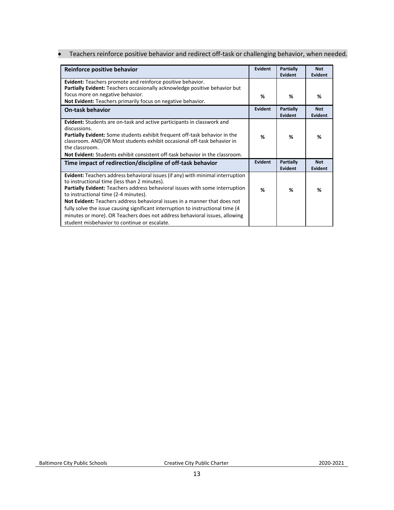• Teachers reinforce positive behavior and redirect off-task or challenging behavior, when needed.

| Reinforce positive behavior                                                                                                                                                                                                                                                                                                                                                                                                                                                                                                                                 | Evident | Partially<br>Evident        | <b>Not</b><br>Evident |
|-------------------------------------------------------------------------------------------------------------------------------------------------------------------------------------------------------------------------------------------------------------------------------------------------------------------------------------------------------------------------------------------------------------------------------------------------------------------------------------------------------------------------------------------------------------|---------|-----------------------------|-----------------------|
| Evident: Teachers promote and reinforce positive behavior.<br>Partially Evident: Teachers occasionally acknowledge positive behavior but<br>focus more on negative behavior.                                                                                                                                                                                                                                                                                                                                                                                | %       | ℅                           | %                     |
| Not Evident: Teachers primarily focus on negative behavior.                                                                                                                                                                                                                                                                                                                                                                                                                                                                                                 |         |                             |                       |
| <b>On-task behavior</b>                                                                                                                                                                                                                                                                                                                                                                                                                                                                                                                                     | Evident | <b>Partially</b><br>Evident | <b>Not</b><br>Evident |
| <b>Evident:</b> Students are on-task and active participants in classwork and<br>discussions.<br><b>Partially Evident:</b> Some students exhibit frequent off-task behavior in the<br>classroom. AND/OR Most students exhibit occasional off-task behavior in<br>the classroom.<br><b>Not Evident:</b> Students exhibit consistent off-task behavior in the classroom.                                                                                                                                                                                      | %       | %                           | %                     |
| Time impact of redirection/discipline of off-task behavior                                                                                                                                                                                                                                                                                                                                                                                                                                                                                                  | Evident | <b>Partially</b><br>Evident | <b>Not</b><br>Evident |
| <b>Evident:</b> Teachers address behavioral issues (if any) with minimal interruption<br>to instructional time (less than 2 minutes).<br>Partially Evident: Teachers address behavioral issues with some interruption<br>to instructional time (2-4 minutes).<br>Not Evident: Teachers address behavioral issues in a manner that does not<br>fully solve the issue causing significant interruption to instructional time (4<br>minutes or more). OR Teachers does not address behavioral issues, allowing<br>student misbehavior to continue or escalate. | %       | %                           | %                     |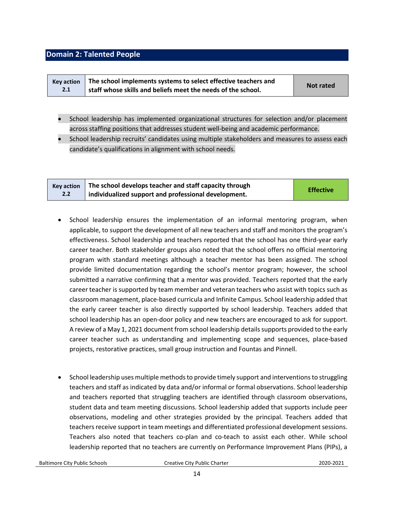### <span id="page-13-0"></span>**Domain 2: Talented People**

| <b>Kev action</b> | The school implements systems to select effective teachers and | Not rated |
|-------------------|----------------------------------------------------------------|-----------|
| 2.1               | staff whose skills and beliefs meet the needs of the school.   |           |

- School leadership has implemented organizational structures for selection and/or placement across staffing positions that addresses student well-being and academic performance.
- School leadership recruits' candidates using multiple stakeholders and measures to assess each candidate's qualifications in alignment with school needs.

| Key action | The school develops teacher and staff capacity through | <b>Effective</b> |
|------------|--------------------------------------------------------|------------------|
| 2.2        | individualized support and professional development.   |                  |

- School leadership ensures the implementation of an informal mentoring program, when applicable, to support the development of all new teachers and staff and monitors the program's effectiveness. School leadership and teachers reported that the school has one third-year early career teacher. Both stakeholder groups also noted that the school offers no official mentoring program with standard meetings although a teacher mentor has been assigned. The school provide limited documentation regarding the school's mentor program; however, the school submitted a narrative confirming that a mentor was provided. Teachers reported that the early career teacher is supported by team member and veteran teachers who assist with topics such as classroom management, place-based curricula and Infinite Campus. School leadership added that the early career teacher is also directly supported by school leadership. Teachers added that school leadership has an open-door policy and new teachers are encouraged to ask for support. A review of a May 1, 2021 document from school leadership details supports provided to the early career teacher such as understanding and implementing scope and sequences, place-based projects, restorative practices, small group instruction and Fountas and Pinnell.
- School leadership uses multiple methods to provide timely support and interventions to struggling teachers and staff as indicated by data and/or informal or formal observations. School leadership and teachers reported that struggling teachers are identified through classroom observations, student data and team meeting discussions. School leadership added that supports include peer observations, modeling and other strategies provided by the principal. Teachers added that teachers receive support in team meetings and differentiated professional development sessions. Teachers also noted that teachers co-plan and co-teach to assist each other. While school leadership reported that no teachers are currently on Performance Improvement Plans (PIPs), a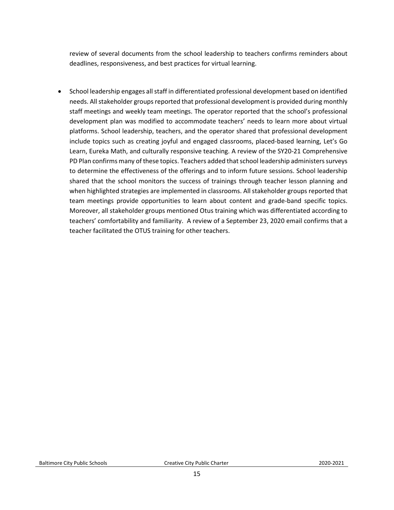review of several documents from the school leadership to teachers confirms reminders about deadlines, responsiveness, and best practices for virtual learning.

• School leadership engages all staff in differentiated professional development based on identified needs. All stakeholder groups reported that professional development is provided during monthly staff meetings and weekly team meetings. The operator reported that the school's professional development plan was modified to accommodate teachers' needs to learn more about virtual platforms. School leadership, teachers, and the operator shared that professional development include topics such as creating joyful and engaged classrooms, placed-based learning, Let's Go Learn, Eureka Math, and culturally responsive teaching. A review of the SY20-21 Comprehensive PD Plan confirms many of these topics. Teachers added that school leadership administers surveys to determine the effectiveness of the offerings and to inform future sessions. School leadership shared that the school monitors the success of trainings through teacher lesson planning and when highlighted strategies are implemented in classrooms. All stakeholder groups reported that team meetings provide opportunities to learn about content and grade-band specific topics. Moreover, all stakeholder groups mentioned Otus training which was differentiated according to teachers' comfortability and familiarity. A review of a September 23, 2020 email confirms that a teacher facilitated the OTUS training for other teachers.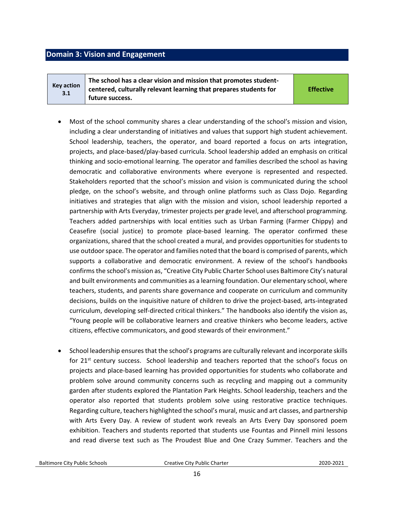### <span id="page-15-0"></span>**Domain 3: Vision and Engagement**

**Key action 3.1 The school has a clear vision and mission that promotes studentcentered, culturally relevant learning that prepares students for future success.** 

**Effective**

- Most of the school community shares a clear understanding of the school's mission and vision, including a clear understanding of initiatives and values that support high student achievement. School leadership, teachers, the operator, and board reported a focus on arts integration, projects, and place-based/play-based curricula. School leadership added an emphasis on critical thinking and socio-emotional learning. The operator and families described the school as having democratic and collaborative environments where everyone is represented and respected. Stakeholders reported that the school's mission and vision is communicated during the school pledge, on the school's website, and through online platforms such as Class Dojo. Regarding initiatives and strategies that align with the mission and vision, school leadership reported a partnership with Arts Everyday, trimester projects per grade level, and afterschool programming. Teachers added partnerships with local entities such as Urban Farming (Farmer Chippy) and Ceasefire (social justice) to promote place-based learning. The operator confirmed these organizations, shared that the school created a mural, and provides opportunities for students to use outdoor space. The operator and families noted that the board is comprised of parents, which supports a collaborative and democratic environment. A review of the school's handbooks confirms the school's mission as, "Creative City Public Charter School uses Baltimore City's natural and built environments and communities as a learning foundation. Our elementary school, where teachers, students, and parents share governance and cooperate on curriculum and community decisions, builds on the inquisitive nature of children to drive the project-based, arts-integrated curriculum, developing self-directed critical thinkers." The handbooks also identify the vision as, "Young people will be collaborative learners and creative thinkers who become leaders, active citizens, effective communicators, and good stewards of their environment."
- School leadership ensures that the school's programs are culturally relevant and incorporate skills for 21<sup>st</sup> century success. School leadership and teachers reported that the school's focus on projects and place-based learning has provided opportunities for students who collaborate and problem solve around community concerns such as recycling and mapping out a community garden after students explored the Plantation Park Heights. School leadership, teachers and the operator also reported that students problem solve using restorative practice techniques. Regarding culture, teachers highlighted the school's mural, music and art classes, and partnership with Arts Every Day. A review of student work reveals an Arts Every Day sponsored poem exhibition. Teachers and students reported that students use Fountas and Pinnell mini lessons and read diverse text such as The Proudest Blue and One Crazy Summer. Teachers and the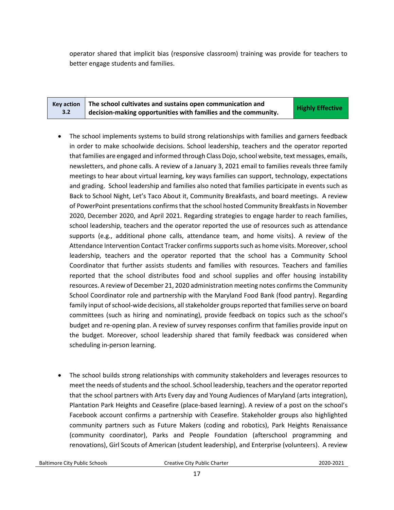operator shared that implicit bias (responsive classroom) training was provide for teachers to better engage students and families.

|     | Key action $\parallel$ The school cultivates and sustains open communication and | <b>Highly Effective</b> |
|-----|----------------------------------------------------------------------------------|-------------------------|
| 3.2 | $\mathsf{d}$ decision-making opportunities with families and the community.      |                         |

- The school implements systems to build strong relationships with families and garners feedback in order to make schoolwide decisions. School leadership, teachers and the operator reported that families are engaged and informed through Class Dojo, school website, text messages, emails, newsletters, and phone calls. A review of a January 3, 2021 email to families reveals three family meetings to hear about virtual learning, key ways families can support, technology, expectations and grading. School leadership and families also noted that families participate in events such as Back to School Night, Let's Taco About it, Community Breakfasts, and board meetings. A review of PowerPoint presentations confirms that the school hosted Community Breakfasts in November 2020, December 2020, and April 2021. Regarding strategies to engage harder to reach families, school leadership, teachers and the operator reported the use of resources such as attendance supports (e.g., additional phone calls, attendance team, and home visits). A review of the Attendance Intervention Contact Tracker confirms supports such as home visits. Moreover, school leadership, teachers and the operator reported that the school has a Community School Coordinator that further assists students and families with resources. Teachers and families reported that the school distributes food and school supplies and offer housing instability resources. A review of December 21, 2020 administration meeting notes confirms the Community School Coordinator role and partnership with the Maryland Food Bank (food pantry). Regarding family input of school-wide decisions, all stakeholder groups reported that families serve on board committees (such as hiring and nominating), provide feedback on topics such as the school's budget and re-opening plan. A review of survey responses confirm that families provide input on the budget. Moreover, school leadership shared that family feedback was considered when scheduling in-person learning.
- The school builds strong relationships with community stakeholders and leverages resources to meet the needs of students and the school. School leadership, teachers and the operator reported that the school partners with Arts Every day and Young Audiences of Maryland (arts integration), Plantation Park Heights and Ceasefire (place-based learning). A review of a post on the school's Facebook account confirms a partnership with Ceasefire. Stakeholder groups also highlighted community partners such as Future Makers (coding and robotics), Park Heights Renaissance (community coordinator), Parks and People Foundation (afterschool programming and renovations), Girl Scouts of American (student leadership), and Enterprise (volunteers). A review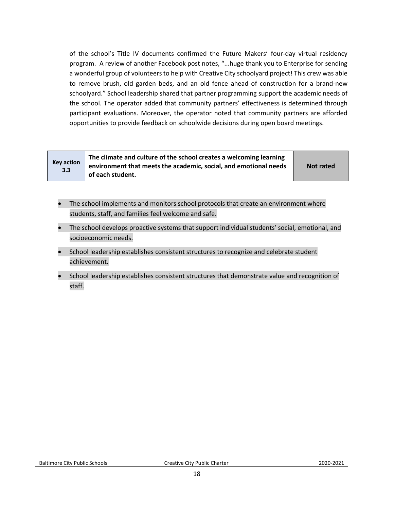of the school's Title IV documents confirmed the Future Makers' four-day virtual residency program. A review of another Facebook post notes, "...huge thank you to Enterprise for sending a wonderful group of volunteers to help with Creative City schoolyard project! This crew was able to remove brush, old garden beds, and an old fence ahead of construction for a brand-new schoolyard." School leadership shared that partner programming support the academic needs of the school. The operator added that community partners' effectiveness is determined through participant evaluations. Moreover, the operator noted that community partners are afforded opportunities to provide feedback on schoolwide decisions during open board meetings.

| <b>Key action</b><br>3.3 | The climate and culture of the school creates a welcoming learning<br>environment that meets the academic, social, and emotional needs<br>of each student. | <b>Not rated</b> |
|--------------------------|------------------------------------------------------------------------------------------------------------------------------------------------------------|------------------|
|--------------------------|------------------------------------------------------------------------------------------------------------------------------------------------------------|------------------|

- The school implements and monitors school protocols that create an environment where students, staff, and families feel welcome and safe.
- The school develops proactive systems that support individual students' social, emotional, and socioeconomic needs.
- School leadership establishes consistent structures to recognize and celebrate student achievement.
- School leadership establishes consistent structures that demonstrate value and recognition of staff.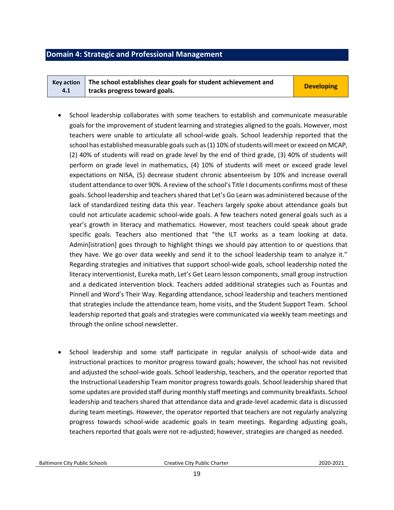### <span id="page-18-0"></span>**Domain 4: Strategic and Professional Management**

|     | Key action $\parallel$ The school establishes clear goals for student achievement and | <b>Developing</b> |
|-----|---------------------------------------------------------------------------------------|-------------------|
| 4.1 | tracks progress toward goals.                                                         |                   |

- School leadership collaborates with some teachers to establish and communicate measurable goals for the improvement of student learning and strategies aligned to the goals. However, most teachers were unable to articulate all school-wide goals. School leadership reported that the school has established measurable goals such as (1) 10% of students will meet or exceed on MCAP, (2) 40% of students will read on grade level by the end of third grade, (3) 40% of students will perform on grade level in mathematics, (4) 10% of students will meet or exceed grade level expectations on NISA, (5) decrease student chronic absenteeism by 10% and increase overall student attendance to over 90%. A review of the school's Title I documents confirms most of these goals. School leadership and teachers shared that Let's Go Learn was administered because of the lack of standardized testing data this year. Teachers largely spoke about attendance goals but could not articulate academic school-wide goals. A few teachers noted general goals such as a year's growth in literacy and mathematics. However, most teachers could speak about grade specific goals. Teachers also mentioned that "the ILT works as a team looking at data. Admin[istration] goes through to highlight things we should pay attention to or questions that they have. We go over data weekly and send it to the school leadership team to analyze it." Regarding strategies and initiatives that support school-wide goals, school leadership noted the literacy interventionist, Eureka math, Let's Get Learn lesson components, small group instruction and a dedicated intervention block. Teachers added additional strategies such as Fountas and Pinnell and Word's Their Way. Regarding attendance, school leadership and teachers mentioned that strategies include the attendance team, home visits, and the Student Support Team. School leadership reported that goals and strategies were communicated via weekly team meetings and through the online school newsletter.
- School leadership and some staff participate in regular analysis of school-wide data and instructional practices to monitor progress toward goals; however, the school has not revisited and adjusted the school-wide goals. School leadership, teachers, and the operator reported that the Instructional Leadership Team monitor progress towards goals. School leadership shared that some updates are provided staff during monthly staff meetings and community breakfasts. School leadership and teachers shared that attendance data and grade-level academic data is discussed during team meetings. However, the operator reported that teachers are not regularly analyzing progress towards school-wide academic goals in team meetings. Regarding adjusting goals, teachers reported that goals were not re-adjusted; however, strategies are changed as needed.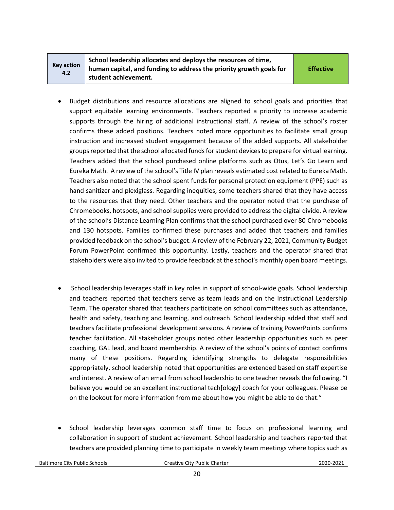| <b>Key action</b> |  |
|-------------------|--|
| 4.2               |  |

**School leadership allocates and deploys the resources of time, human capital, and funding to address the priority growth goals for student achievement.** 

**Effective**

- Budget distributions and resource allocations are aligned to school goals and priorities that support equitable learning environments. Teachers reported a priority to increase academic supports through the hiring of additional instructional staff. A review of the school's roster confirms these added positions. Teachers noted more opportunities to facilitate small group instruction and increased student engagement because of the added supports. All stakeholder groups reported that the school allocated funds for student devices to prepare for virtual learning. Teachers added that the school purchased online platforms such as Otus, Let's Go Learn and Eureka Math. A review of the school's Title IV plan reveals estimated cost related to Eureka Math. Teachers also noted that the school spent funds for personal protection equipment (PPE) such as hand sanitizer and plexiglass. Regarding inequities, some teachers shared that they have access to the resources that they need. Other teachers and the operator noted that the purchase of Chromebooks, hotspots, and school supplies were provided to address the digital divide. A review of the school's Distance Learning Plan confirms that the school purchased over 80 Chromebooks and 130 hotspots. Families confirmed these purchases and added that teachers and families provided feedback on the school's budget. A review of the February 22, 2021, Community Budget Forum PowerPoint confirmed this opportunity. Lastly, teachers and the operator shared that stakeholders were also invited to provide feedback at the school's monthly open board meetings.
- School leadership leverages staff in key roles in support of school-wide goals. School leadership and teachers reported that teachers serve as team leads and on the Instructional Leadership Team. The operator shared that teachers participate on school committees such as attendance, health and safety, teaching and learning, and outreach. School leadership added that staff and teachers facilitate professional development sessions. A review of training PowerPoints confirms teacher facilitation. All stakeholder groups noted other leadership opportunities such as peer coaching, GAL lead, and board membership. A review of the school's points of contact confirms many of these positions. Regarding identifying strengths to delegate responsibilities appropriately, school leadership noted that opportunities are extended based on staff expertise and interest. A review of an email from school leadership to one teacher reveals the following, "I believe you would be an excellent instructional tech[ology] coach for your colleagues. Please be on the lookout for more information from me about how you might be able to do that."
- School leadership leverages common staff time to focus on professional learning and collaboration in support of student achievement. School leadership and teachers reported that teachers are provided planning time to participate in weekly team meetings where topics such as

Baltimore City Public Schools Creative City Public Charter2020-2021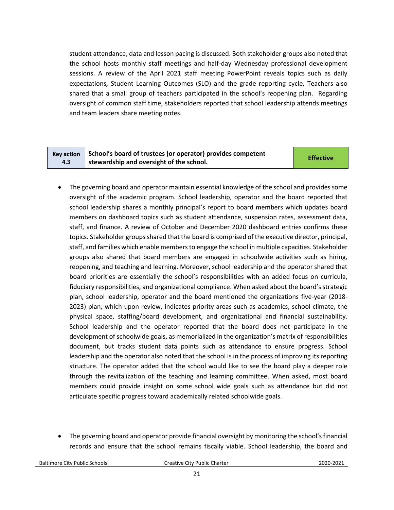student attendance, data and lesson pacing is discussed. Both stakeholder groups also noted that the school hosts monthly staff meetings and half-day Wednesday professional development sessions. A review of the April 2021 staff meeting PowerPoint reveals topics such as daily expectations, Student Learning Outcomes (SLO) and the grade reporting cycle. Teachers also shared that a small group of teachers participated in the school's reopening plan. Regarding oversight of common staff time, stakeholders reported that school leadership attends meetings and team leaders share meeting notes.

| <b>Key action</b> | School's board of trustees (or operator) provides competent | <b>Effective</b> |
|-------------------|-------------------------------------------------------------|------------------|
| 4.3               | <sup>1</sup> stewardship and oversight of the school.       |                  |

- The governing board and operator maintain essential knowledge of the school and provides some oversight of the academic program. School leadership, operator and the board reported that school leadership shares a monthly principal's report to board members which updates board members on dashboard topics such as student attendance, suspension rates, assessment data, staff, and finance. A review of October and December 2020 dashboard entries confirms these topics. Stakeholder groups shared that the board is comprised of the executive director, principal, staff, and families which enable members to engage the school in multiple capacities. Stakeholder groups also shared that board members are engaged in schoolwide activities such as hiring, reopening, and teaching and learning. Moreover, school leadership and the operator shared that board priorities are essentially the school's responsibilities with an added focus on curricula, fiduciary responsibilities, and organizational compliance. When asked about the board's strategic plan, school leadership, operator and the board mentioned the organizations five-year (2018- 2023) plan, which upon review, indicates priority areas such as academics, school climate, the physical space, staffing/board development, and organizational and financial sustainability. School leadership and the operator reported that the board does not participate in the development of schoolwide goals, as memorialized in the organization's matrix of responsibilities document, but tracks student data points such as attendance to ensure progress. School leadership and the operator also noted that the school is in the process of improving its reporting structure. The operator added that the school would like to see the board play a deeper role through the revitalization of the teaching and learning committee. When asked, most board members could provide insight on some school wide goals such as attendance but did not articulate specific progress toward academically related schoolwide goals.
- The governing board and operator provide financial oversight by monitoring the school's financial records and ensure that the school remains fiscally viable. School leadership, the board and

Baltimore City Public Schools Creative City Public Charter2020-2021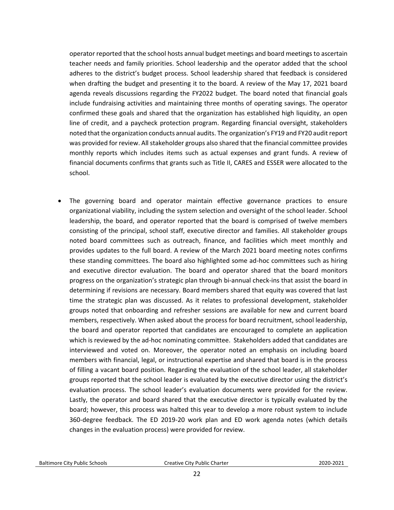operator reported that the school hosts annual budget meetings and board meetings to ascertain teacher needs and family priorities. School leadership and the operator added that the school adheres to the district's budget process. School leadership shared that feedback is considered when drafting the budget and presenting it to the board. A review of the May 17, 2021 board agenda reveals discussions regarding the FY2022 budget. The board noted that financial goals include fundraising activities and maintaining three months of operating savings. The operator confirmed these goals and shared that the organization has established high liquidity, an open line of credit, and a paycheck protection program. Regarding financial oversight, stakeholders noted that the organization conducts annual audits. The organization's FY19 and FY20 audit report was provided for review. All stakeholder groups also shared that the financial committee provides monthly reports which includes items such as actual expenses and grant funds. A review of financial documents confirms that grants such as Title II, CARES and ESSER were allocated to the school.

The governing board and operator maintain effective governance practices to ensure organizational viability, including the system selection and oversight of the school leader. School leadership, the board, and operator reported that the board is comprised of twelve members consisting of the principal, school staff, executive director and families. All stakeholder groups noted board committees such as outreach, finance, and facilities which meet monthly and provides updates to the full board. A review of the March 2021 board meeting notes confirms these standing committees. The board also highlighted some ad-hoc committees such as hiring and executive director evaluation. The board and operator shared that the board monitors progress on the organization's strategic plan through bi-annual check-ins that assist the board in determining if revisions are necessary. Board members shared that equity was covered that last time the strategic plan was discussed. As it relates to professional development, stakeholder groups noted that onboarding and refresher sessions are available for new and current board members, respectively. When asked about the process for board recruitment, school leadership, the board and operator reported that candidates are encouraged to complete an application which is reviewed by the ad-hoc nominating committee. Stakeholders added that candidates are interviewed and voted on. Moreover, the operator noted an emphasis on including board members with financial, legal, or instructional expertise and shared that board is in the process of filling a vacant board position. Regarding the evaluation of the school leader, all stakeholder groups reported that the school leader is evaluated by the executive director using the district's evaluation process. The school leader's evaluation documents were provided for the review. Lastly, the operator and board shared that the executive director is typically evaluated by the board; however, this process was halted this year to develop a more robust system to include 360-degree feedback. The ED 2019-20 work plan and ED work agenda notes (which details changes in the evaluation process) were provided for review.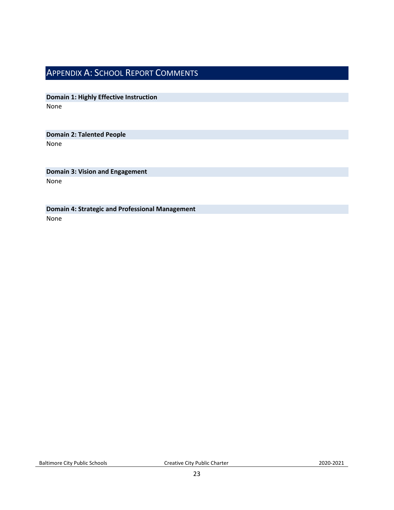### <span id="page-22-0"></span>APPENDIX A: SCHOOL REPORT COMMENTS

**Domain 1: Highly Effective Instruction** None

**Domain 2: Talented People** None

**Domain 3: Vision and Engagement** None

**Domain 4: Strategic and Professional Management** None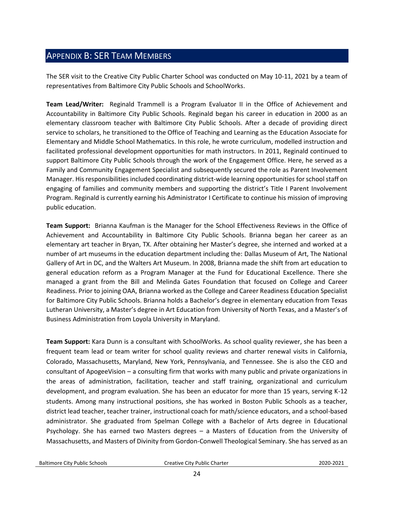### <span id="page-23-0"></span>APPENDIX B: SER TEAM MEMBERS

The SER visit to the Creative City Public Charter School was conducted on May 10-11, 2021 by a team of representatives from Baltimore City Public Schools and SchoolWorks.

**Team Lead/Writer:** Reginald Trammell is a Program Evaluator II in the Office of Achievement and Accountability in Baltimore City Public Schools. Reginald began his career in education in 2000 as an elementary classroom teacher with Baltimore City Public Schools. After a decade of providing direct service to scholars, he transitioned to the Office of Teaching and Learning as the Education Associate for Elementary and Middle School Mathematics. In this role, he wrote curriculum, modelled instruction and facilitated professional development opportunities for math instructors. In 2011, Reginald continued to support Baltimore City Public Schools through the work of the Engagement Office. Here, he served as a Family and Community Engagement Specialist and subsequently secured the role as Parent Involvement Manager. His responsibilities included coordinating district-wide learning opportunities for school staff on engaging of families and community members and supporting the district's Title I Parent Involvement Program. Reginald is currently earning his Administrator I Certificate to continue his mission of improving public education.

**Team Support:** Brianna Kaufman is the Manager for the School Effectiveness Reviews in the Office of Achievement and Accountability in Baltimore City Public Schools. Brianna began her career as an elementary art teacher in Bryan, TX. After obtaining her Master's degree, she interned and worked at a number of art museums in the education department including the: Dallas Museum of Art, The National Gallery of Art in DC, and the Walters Art Museum. In 2008, Brianna made the shift from art education to general education reform as a Program Manager at the Fund for Educational Excellence. There she managed a grant from the Bill and Melinda Gates Foundation that focused on College and Career Readiness. Prior to joining OAA, Brianna worked as the College and Career Readiness Education Specialist for Baltimore City Public Schools. Brianna holds a Bachelor's degree in elementary education from Texas Lutheran University, a Master's degree in Art Education from University of North Texas, and a Master's of Business Administration from Loyola University in Maryland.

**Team Support:** Kara Dunn is a consultant with SchoolWorks. As school quality reviewer, she has been a frequent team lead or team writer for school quality reviews and charter renewal visits in California, Colorado, Massachusetts, Maryland, New York, Pennsylvania, and Tennessee. She is also the CEO and consultant of ApogeeVision – a consulting firm that works with many public and private organizations in the areas of administration, facilitation, teacher and staff training, organizational and curriculum development, and program evaluation. She has been an educator for more than 15 years, serving K-12 students. Among many instructional positions, she has worked in Boston Public Schools as a teacher, district lead teacher, teacher trainer, instructional coach for math/science educators, and a school-based administrator. She graduated from Spelman College with a Bachelor of Arts degree in Educational Psychology. She has earned two Masters degrees – a Masters of Education from the University of Massachusetts, and Masters of Divinity from Gordon-Conwell Theological Seminary. She has served as an